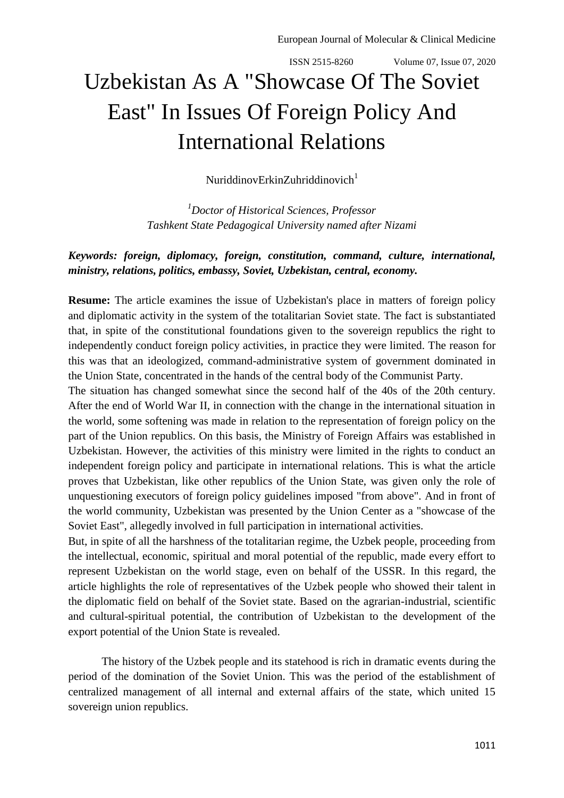## Uzbekistan As A "Showcase Of The Soviet East" In Issues Of Foreign Policy And International Relations

NuriddinovErkinZuhriddinovich $1$ 

*<sup>1</sup>Doctor of Historical Sciences, Professor Tashkent State Pedagogical University named after Nizami*

## *Keywords: foreign, diplomacy, foreign, constitution, command, culture, international, ministry, relations, politics, embassy, Soviet, Uzbekistan, central, economy.*

**Resume:** The article examines the issue of Uzbekistan's place in matters of foreign policy and diplomatic activity in the system of the totalitarian Soviet state. The fact is substantiated that, in spite of the constitutional foundations given to the sovereign republics the right to independently conduct foreign policy activities, in practice they were limited. The reason for this was that an ideologized, command-administrative system of government dominated in the Union State, concentrated in the hands of the central body of the Communist Party.

The situation has changed somewhat since the second half of the 40s of the 20th century. After the end of World War II, in connection with the change in the international situation in the world, some softening was made in relation to the representation of foreign policy on the part of the Union republics. On this basis, the Ministry of Foreign Affairs was established in Uzbekistan. However, the activities of this ministry were limited in the rights to conduct an independent foreign policy and participate in international relations. This is what the article proves that Uzbekistan, like other republics of the Union State, was given only the role of unquestioning executors of foreign policy guidelines imposed "from above". And in front of the world community, Uzbekistan was presented by the Union Center as a "showcase of the Soviet East", allegedly involved in full participation in international activities.

But, in spite of all the harshness of the totalitarian regime, the Uzbek people, proceeding from the intellectual, economic, spiritual and moral potential of the republic, made every effort to represent Uzbekistan on the world stage, even on behalf of the USSR. In this regard, the article highlights the role of representatives of the Uzbek people who showed their talent in the diplomatic field on behalf of the Soviet state. Based on the agrarian-industrial, scientific and cultural-spiritual potential, the contribution of Uzbekistan to the development of the export potential of the Union State is revealed.

The history of the Uzbek people and its statehood is rich in dramatic events during the period of the domination of the Soviet Union. This was the period of the establishment of centralized management of all internal and external affairs of the state, which united 15 sovereign union republics.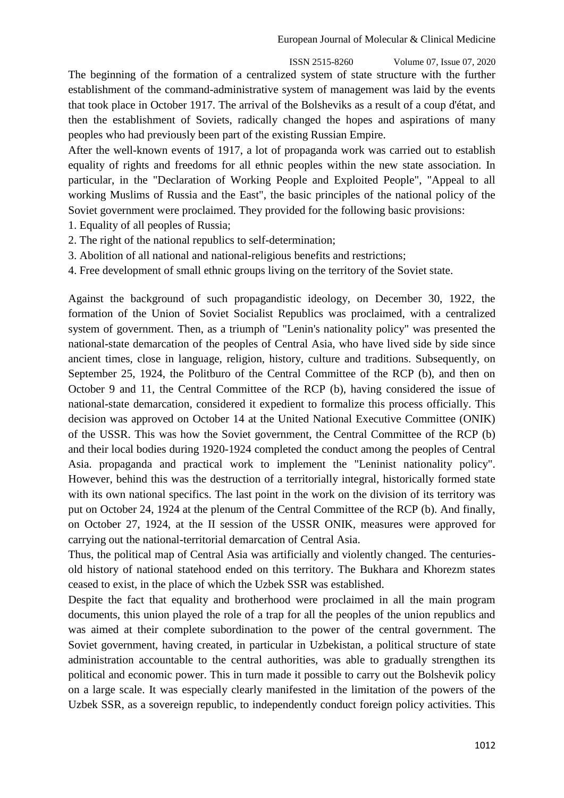The beginning of the formation of a centralized system of state structure with the further establishment of the command-administrative system of management was laid by the events that took place in October 1917. The arrival of the Bolsheviks as a result of a coup d'état, and then the establishment of Soviets, radically changed the hopes and aspirations of many peoples who had previously been part of the existing Russian Empire.

After the well-known events of 1917, a lot of propaganda work was carried out to establish equality of rights and freedoms for all ethnic peoples within the new state association. In particular, in the "Declaration of Working People and Exploited People", "Appeal to all working Muslims of Russia and the East", the basic principles of the national policy of the Soviet government were proclaimed. They provided for the following basic provisions:

1. Equality of all peoples of Russia;

- 2. The right of the national republics to self-determination;
- 3. Abolition of all national and national-religious benefits and restrictions;
- 4. Free development of small ethnic groups living on the territory of the Soviet state.

Against the background of such propagandistic ideology, on December 30, 1922, the formation of the Union of Soviet Socialist Republics was proclaimed, with a centralized system of government. Then, as a triumph of "Lenin's nationality policy" was presented the national-state demarcation of the peoples of Central Asia, who have lived side by side since ancient times, close in language, religion, history, culture and traditions. Subsequently, on September 25, 1924, the Politburo of the Central Committee of the RCP (b), and then on October 9 and 11, the Central Committee of the RCP (b), having considered the issue of national-state demarcation, considered it expedient to formalize this process officially. This decision was approved on October 14 at the United National Executive Committee (ONIK) of the USSR. This was how the Soviet government, the Central Committee of the RCP (b) and their local bodies during 1920-1924 completed the conduct among the peoples of Central Asia. propaganda and practical work to implement the "Leninist nationality policy". However, behind this was the destruction of a territorially integral, historically formed state with its own national specifics. The last point in the work on the division of its territory was put on October 24, 1924 at the plenum of the Central Committee of the RCP (b). And finally, on October 27, 1924, at the II session of the USSR ONIK, measures were approved for carrying out the national-territorial demarcation of Central Asia.

Thus, the political map of Central Asia was artificially and violently changed. The centuriesold history of national statehood ended on this territory. The Bukhara and Khorezm states ceased to exist, in the place of which the Uzbek SSR was established.

Despite the fact that equality and brotherhood were proclaimed in all the main program documents, this union played the role of a trap for all the peoples of the union republics and was aimed at their complete subordination to the power of the central government. The Soviet government, having created, in particular in Uzbekistan, a political structure of state administration accountable to the central authorities, was able to gradually strengthen its political and economic power. This in turn made it possible to carry out the Bolshevik policy on a large scale. It was especially clearly manifested in the limitation of the powers of the Uzbek SSR, as a sovereign republic, to independently conduct foreign policy activities. This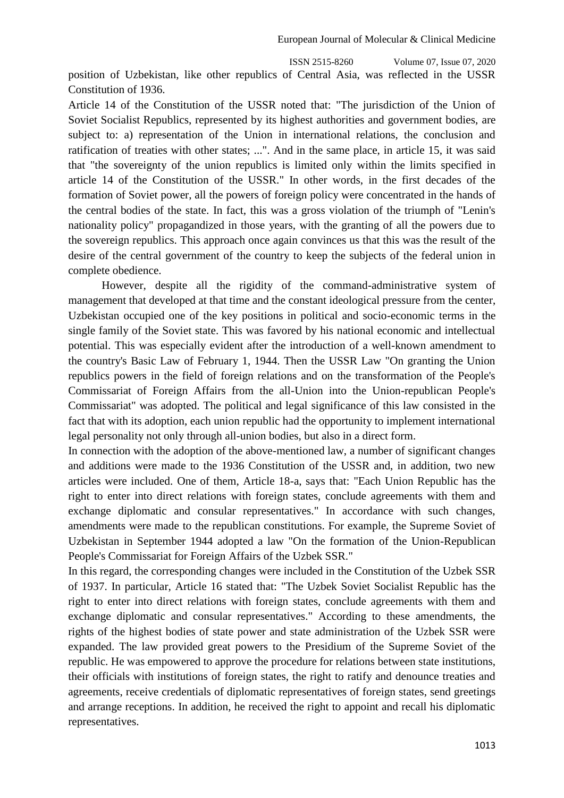position of Uzbekistan, like other republics of Central Asia, was reflected in the USSR Constitution of 1936.

Article 14 of the Constitution of the USSR noted that: "The jurisdiction of the Union of Soviet Socialist Republics, represented by its highest authorities and government bodies, are subject to: a) representation of the Union in international relations, the conclusion and ratification of treaties with other states; ...". And in the same place, in article 15, it was said that "the sovereignty of the union republics is limited only within the limits specified in article 14 of the Constitution of the USSR." In other words, in the first decades of the formation of Soviet power, all the powers of foreign policy were concentrated in the hands of the central bodies of the state. In fact, this was a gross violation of the triumph of "Lenin's nationality policy" propagandized in those years, with the granting of all the powers due to the sovereign republics. This approach once again convinces us that this was the result of the desire of the central government of the country to keep the subjects of the federal union in complete obedience.

However, despite all the rigidity of the command-administrative system of management that developed at that time and the constant ideological pressure from the center, Uzbekistan occupied one of the key positions in political and socio-economic terms in the single family of the Soviet state. This was favored by his national economic and intellectual potential. This was especially evident after the introduction of a well-known amendment to the country's Basic Law of February 1, 1944. Then the USSR Law "On granting the Union republics powers in the field of foreign relations and on the transformation of the People's Commissariat of Foreign Affairs from the all-Union into the Union-republican People's Commissariat" was adopted. The political and legal significance of this law consisted in the fact that with its adoption, each union republic had the opportunity to implement international legal personality not only through all-union bodies, but also in a direct form.

In connection with the adoption of the above-mentioned law, a number of significant changes and additions were made to the 1936 Constitution of the USSR and, in addition, two new articles were included. One of them, Article 18-a, says that: "Each Union Republic has the right to enter into direct relations with foreign states, conclude agreements with them and exchange diplomatic and consular representatives." In accordance with such changes, amendments were made to the republican constitutions. For example, the Supreme Soviet of Uzbekistan in September 1944 adopted a law "On the formation of the Union-Republican People's Commissariat for Foreign Affairs of the Uzbek SSR."

In this regard, the corresponding changes were included in the Constitution of the Uzbek SSR of 1937. In particular, Article 16 stated that: "The Uzbek Soviet Socialist Republic has the right to enter into direct relations with foreign states, conclude agreements with them and exchange diplomatic and consular representatives." According to these amendments, the rights of the highest bodies of state power and state administration of the Uzbek SSR were expanded. The law provided great powers to the Presidium of the Supreme Soviet of the republic. He was empowered to approve the procedure for relations between state institutions, their officials with institutions of foreign states, the right to ratify and denounce treaties and agreements, receive credentials of diplomatic representatives of foreign states, send greetings and arrange receptions. In addition, he received the right to appoint and recall his diplomatic representatives.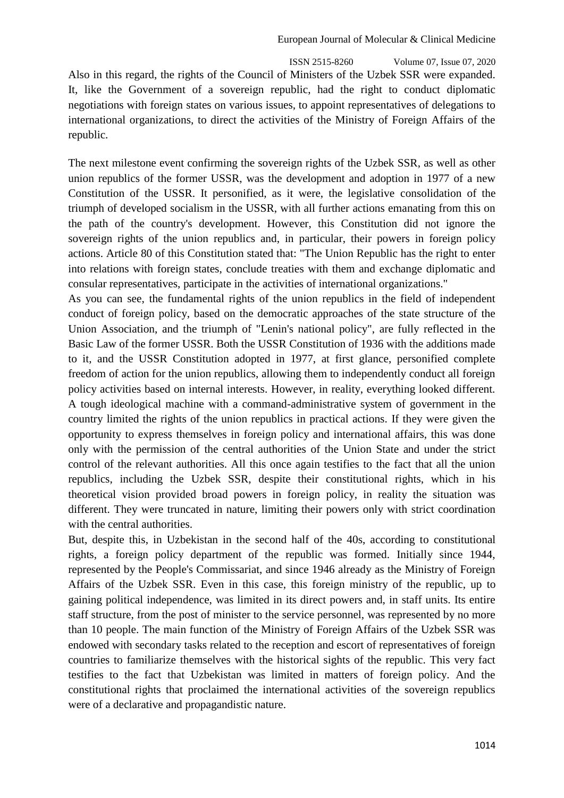ISSN 2515-8260 Volume 07, Issue 07, 2020 Also in this regard, the rights of the Council of Ministers of the Uzbek SSR were expanded. It, like the Government of a sovereign republic, had the right to conduct diplomatic negotiations with foreign states on various issues, to appoint representatives of delegations to international organizations, to direct the activities of the Ministry of Foreign Affairs of the republic.

The next milestone event confirming the sovereign rights of the Uzbek SSR, as well as other union republics of the former USSR, was the development and adoption in 1977 of a new Constitution of the USSR. It personified, as it were, the legislative consolidation of the triumph of developed socialism in the USSR, with all further actions emanating from this on the path of the country's development. However, this Constitution did not ignore the sovereign rights of the union republics and, in particular, their powers in foreign policy actions. Article 80 of this Constitution stated that: "The Union Republic has the right to enter into relations with foreign states, conclude treaties with them and exchange diplomatic and consular representatives, participate in the activities of international organizations."

As you can see, the fundamental rights of the union republics in the field of independent conduct of foreign policy, based on the democratic approaches of the state structure of the Union Association, and the triumph of "Lenin's national policy", are fully reflected in the Basic Law of the former USSR. Both the USSR Constitution of 1936 with the additions made to it, and the USSR Constitution adopted in 1977, at first glance, personified complete freedom of action for the union republics, allowing them to independently conduct all foreign policy activities based on internal interests. However, in reality, everything looked different. A tough ideological machine with a command-administrative system of government in the country limited the rights of the union republics in practical actions. If they were given the opportunity to express themselves in foreign policy and international affairs, this was done only with the permission of the central authorities of the Union State and under the strict control of the relevant authorities. All this once again testifies to the fact that all the union republics, including the Uzbek SSR, despite their constitutional rights, which in his theoretical vision provided broad powers in foreign policy, in reality the situation was different. They were truncated in nature, limiting their powers only with strict coordination with the central authorities.

But, despite this, in Uzbekistan in the second half of the 40s, according to constitutional rights, a foreign policy department of the republic was formed. Initially since 1944, represented by the People's Commissariat, and since 1946 already as the Ministry of Foreign Affairs of the Uzbek SSR. Even in this case, this foreign ministry of the republic, up to gaining political independence, was limited in its direct powers and, in staff units. Its entire staff structure, from the post of minister to the service personnel, was represented by no more than 10 people. The main function of the Ministry of Foreign Affairs of the Uzbek SSR was endowed with secondary tasks related to the reception and escort of representatives of foreign countries to familiarize themselves with the historical sights of the republic. This very fact testifies to the fact that Uzbekistan was limited in matters of foreign policy. And the constitutional rights that proclaimed the international activities of the sovereign republics were of a declarative and propagandistic nature.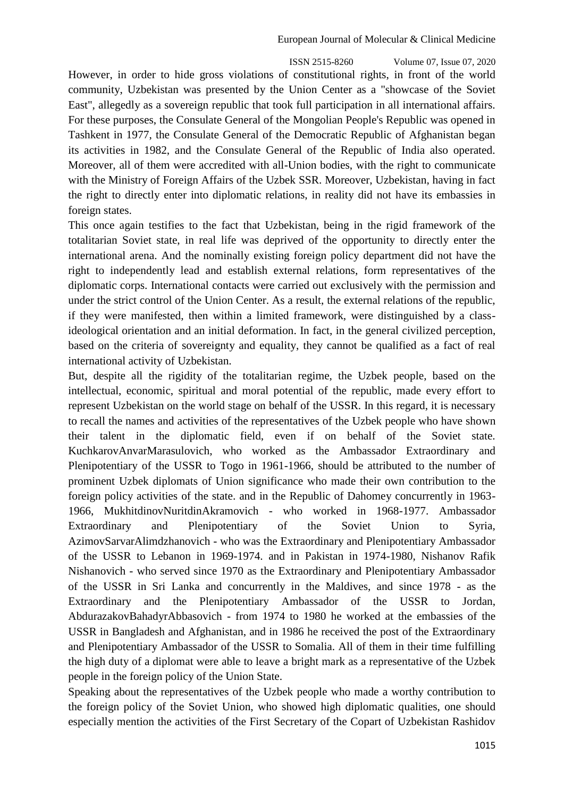ISSN 2515-8260 Volume 07, Issue 07, 2020 However, in order to hide gross violations of constitutional rights, in front of the world community, Uzbekistan was presented by the Union Center as a "showcase of the Soviet East", allegedly as a sovereign republic that took full participation in all international affairs. For these purposes, the Consulate General of the Mongolian People's Republic was opened in Tashkent in 1977, the Consulate General of the Democratic Republic of Afghanistan began its activities in 1982, and the Consulate General of the Republic of India also operated. Moreover, all of them were accredited with all-Union bodies, with the right to communicate with the Ministry of Foreign Affairs of the Uzbek SSR. Moreover, Uzbekistan, having in fact the right to directly enter into diplomatic relations, in reality did not have its embassies in foreign states.

This once again testifies to the fact that Uzbekistan, being in the rigid framework of the totalitarian Soviet state, in real life was deprived of the opportunity to directly enter the international arena. And the nominally existing foreign policy department did not have the right to independently lead and establish external relations, form representatives of the diplomatic corps. International contacts were carried out exclusively with the permission and under the strict control of the Union Center. As a result, the external relations of the republic, if they were manifested, then within a limited framework, were distinguished by a classideological orientation and an initial deformation. In fact, in the general civilized perception, based on the criteria of sovereignty and equality, they cannot be qualified as a fact of real international activity of Uzbekistan.

But, despite all the rigidity of the totalitarian regime, the Uzbek people, based on the intellectual, economic, spiritual and moral potential of the republic, made every effort to represent Uzbekistan on the world stage on behalf of the USSR. In this regard, it is necessary to recall the names and activities of the representatives of the Uzbek people who have shown their talent in the diplomatic field, even if on behalf of the Soviet state. KuchkarovAnvarMarasulovich, who worked as the Ambassador Extraordinary and Plenipotentiary of the USSR to Togo in 1961-1966, should be attributed to the number of prominent Uzbek diplomats of Union significance who made their own contribution to the foreign policy activities of the state. and in the Republic of Dahomey concurrently in 1963- 1966, MukhitdinovNuritdinAkramovich - who worked in 1968-1977. Ambassador Extraordinary and Plenipotentiary of the Soviet Union to Syria, AzimovSarvarAlimdzhanovich - who was the Extraordinary and Plenipotentiary Ambassador of the USSR to Lebanon in 1969-1974. and in Pakistan in 1974-1980, Nishanov Rafik Nishanovich - who served since 1970 as the Extraordinary and Plenipotentiary Ambassador of the USSR in Sri Lanka and concurrently in the Maldives, and since 1978 - as the Extraordinary and the Plenipotentiary Ambassador of the USSR to Jordan, AbdurazakovBahadyrAbbasovich - from 1974 to 1980 he worked at the embassies of the USSR in Bangladesh and Afghanistan, and in 1986 he received the post of the Extraordinary and Plenipotentiary Ambassador of the USSR to Somalia. All of them in their time fulfilling the high duty of a diplomat were able to leave a bright mark as a representative of the Uzbek people in the foreign policy of the Union State.

Speaking about the representatives of the Uzbek people who made a worthy contribution to the foreign policy of the Soviet Union, who showed high diplomatic qualities, one should especially mention the activities of the First Secretary of the Copart of Uzbekistan Rashidov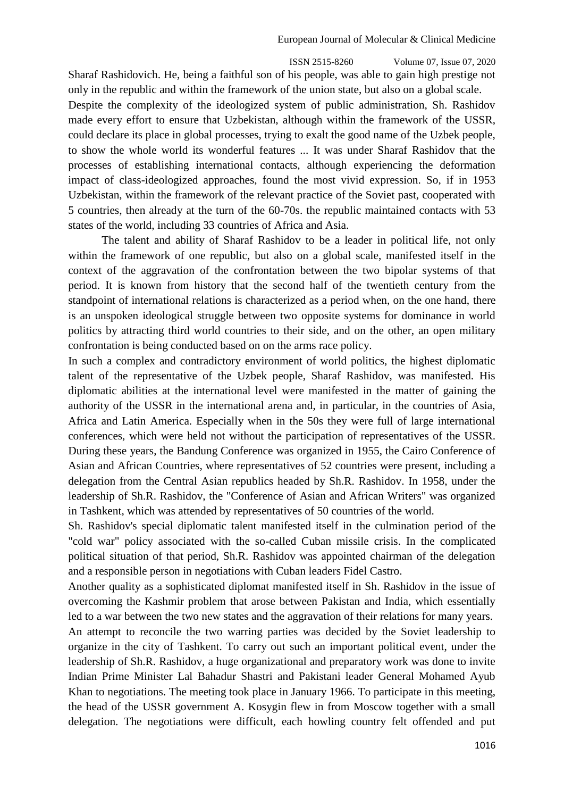ISSN 2515-8260 Volume 07, Issue 07, 2020 Sharaf Rashidovich. He, being a faithful son of his people, was able to gain high prestige not only in the republic and within the framework of the union state, but also on a global scale.

Despite the complexity of the ideologized system of public administration, Sh. Rashidov made every effort to ensure that Uzbekistan, although within the framework of the USSR, could declare its place in global processes, trying to exalt the good name of the Uzbek people, to show the whole world its wonderful features ... It was under Sharaf Rashidov that the processes of establishing international contacts, although experiencing the deformation impact of class-ideologized approaches, found the most vivid expression. So, if in 1953 Uzbekistan, within the framework of the relevant practice of the Soviet past, cooperated with 5 countries, then already at the turn of the 60-70s. the republic maintained contacts with 53 states of the world, including 33 countries of Africa and Asia.

The talent and ability of Sharaf Rashidov to be a leader in political life, not only within the framework of one republic, but also on a global scale, manifested itself in the context of the aggravation of the confrontation between the two bipolar systems of that period. It is known from history that the second half of the twentieth century from the standpoint of international relations is characterized as a period when, on the one hand, there is an unspoken ideological struggle between two opposite systems for dominance in world politics by attracting third world countries to their side, and on the other, an open military confrontation is being conducted based on on the arms race policy.

In such a complex and contradictory environment of world politics, the highest diplomatic talent of the representative of the Uzbek people, Sharaf Rashidov, was manifested. His diplomatic abilities at the international level were manifested in the matter of gaining the authority of the USSR in the international arena and, in particular, in the countries of Asia, Africa and Latin America. Especially when in the 50s they were full of large international conferences, which were held not without the participation of representatives of the USSR. During these years, the Bandung Conference was organized in 1955, the Cairo Conference of Asian and African Countries, where representatives of 52 countries were present, including a delegation from the Central Asian republics headed by Sh.R. Rashidov. In 1958, under the leadership of Sh.R. Rashidov, the "Conference of Asian and African Writers" was organized in Tashkent, which was attended by representatives of 50 countries of the world.

Sh. Rashidov's special diplomatic talent manifested itself in the culmination period of the "cold war" policy associated with the so-called Cuban missile crisis. In the complicated political situation of that period, Sh.R. Rashidov was appointed chairman of the delegation and a responsible person in negotiations with Cuban leaders Fidel Castro.

Another quality as a sophisticated diplomat manifested itself in Sh. Rashidov in the issue of overcoming the Kashmir problem that arose between Pakistan and India, which essentially led to a war between the two new states and the aggravation of their relations for many years.

An attempt to reconcile the two warring parties was decided by the Soviet leadership to organize in the city of Tashkent. To carry out such an important political event, under the leadership of Sh.R. Rashidov, a huge organizational and preparatory work was done to invite Indian Prime Minister Lal Bahadur Shastri and Pakistani leader General Mohamed Ayub Khan to negotiations. The meeting took place in January 1966. To participate in this meeting, the head of the USSR government A. Kosygin flew in from Moscow together with a small delegation. The negotiations were difficult, each howling country felt offended and put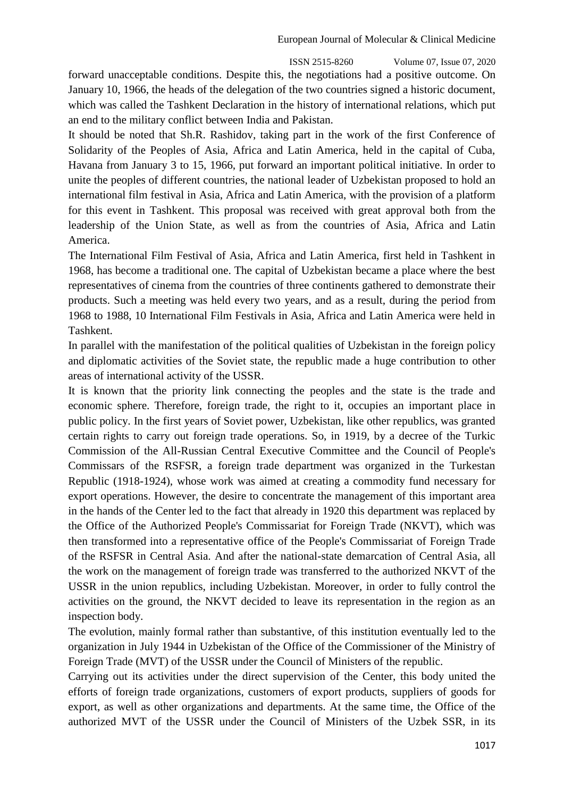ISSN 2515-8260 Volume 07, Issue 07, 2020 forward unacceptable conditions. Despite this, the negotiations had a positive outcome. On January 10, 1966, the heads of the delegation of the two countries signed a historic document, which was called the Tashkent Declaration in the history of international relations, which put an end to the military conflict between India and Pakistan.

It should be noted that Sh.R. Rashidov, taking part in the work of the first Conference of Solidarity of the Peoples of Asia, Africa and Latin America, held in the capital of Cuba, Havana from January 3 to 15, 1966, put forward an important political initiative. In order to unite the peoples of different countries, the national leader of Uzbekistan proposed to hold an international film festival in Asia, Africa and Latin America, with the provision of a platform for this event in Tashkent. This proposal was received with great approval both from the leadership of the Union State, as well as from the countries of Asia, Africa and Latin America.

The International Film Festival of Asia, Africa and Latin America, first held in Tashkent in 1968, has become a traditional one. The capital of Uzbekistan became a place where the best representatives of cinema from the countries of three continents gathered to demonstrate their products. Such a meeting was held every two years, and as a result, during the period from 1968 to 1988, 10 International Film Festivals in Asia, Africa and Latin America were held in Tashkent.

In parallel with the manifestation of the political qualities of Uzbekistan in the foreign policy and diplomatic activities of the Soviet state, the republic made a huge contribution to other areas of international activity of the USSR.

It is known that the priority link connecting the peoples and the state is the trade and economic sphere. Therefore, foreign trade, the right to it, occupies an important place in public policy. In the first years of Soviet power, Uzbekistan, like other republics, was granted certain rights to carry out foreign trade operations. So, in 1919, by a decree of the Turkic Commission of the All-Russian Central Executive Committee and the Council of People's Commissars of the RSFSR, a foreign trade department was organized in the Turkestan Republic (1918-1924), whose work was aimed at creating a commodity fund necessary for export operations. However, the desire to concentrate the management of this important area in the hands of the Center led to the fact that already in 1920 this department was replaced by the Office of the Authorized People's Commissariat for Foreign Trade (NKVT), which was then transformed into a representative office of the People's Commissariat of Foreign Trade of the RSFSR in Central Asia. And after the national-state demarcation of Central Asia, all the work on the management of foreign trade was transferred to the authorized NKVT of the USSR in the union republics, including Uzbekistan. Moreover, in order to fully control the activities on the ground, the NKVT decided to leave its representation in the region as an inspection body.

The evolution, mainly formal rather than substantive, of this institution eventually led to the organization in July 1944 in Uzbekistan of the Office of the Commissioner of the Ministry of Foreign Trade (MVT) of the USSR under the Council of Ministers of the republic.

Carrying out its activities under the direct supervision of the Center, this body united the efforts of foreign trade organizations, customers of export products, suppliers of goods for export, as well as other organizations and departments. At the same time, the Office of the authorized MVT of the USSR under the Council of Ministers of the Uzbek SSR, in its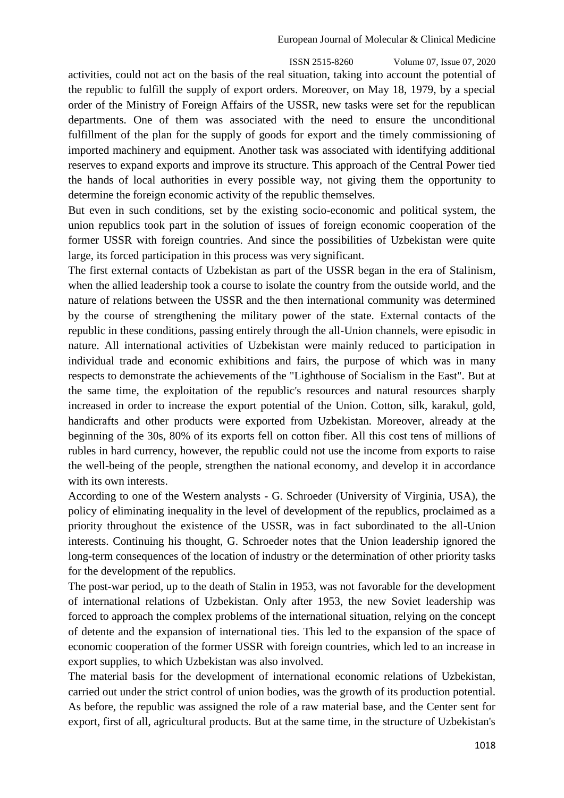ISSN 2515-8260 Volume 07, Issue 07, 2020 activities, could not act on the basis of the real situation, taking into account the potential of the republic to fulfill the supply of export orders. Moreover, on May 18, 1979, by a special order of the Ministry of Foreign Affairs of the USSR, new tasks were set for the republican departments. One of them was associated with the need to ensure the unconditional fulfillment of the plan for the supply of goods for export and the timely commissioning of imported machinery and equipment. Another task was associated with identifying additional reserves to expand exports and improve its structure. This approach of the Central Power tied the hands of local authorities in every possible way, not giving them the opportunity to determine the foreign economic activity of the republic themselves.

But even in such conditions, set by the existing socio-economic and political system, the union republics took part in the solution of issues of foreign economic cooperation of the former USSR with foreign countries. And since the possibilities of Uzbekistan were quite large, its forced participation in this process was very significant.

The first external contacts of Uzbekistan as part of the USSR began in the era of Stalinism, when the allied leadership took a course to isolate the country from the outside world, and the nature of relations between the USSR and the then international community was determined by the course of strengthening the military power of the state. External contacts of the republic in these conditions, passing entirely through the all-Union channels, were episodic in nature. All international activities of Uzbekistan were mainly reduced to participation in individual trade and economic exhibitions and fairs, the purpose of which was in many respects to demonstrate the achievements of the "Lighthouse of Socialism in the East". But at the same time, the exploitation of the republic's resources and natural resources sharply increased in order to increase the export potential of the Union. Cotton, silk, karakul, gold, handicrafts and other products were exported from Uzbekistan. Moreover, already at the beginning of the 30s, 80% of its exports fell on cotton fiber. All this cost tens of millions of rubles in hard currency, however, the republic could not use the income from exports to raise the well-being of the people, strengthen the national economy, and develop it in accordance with its own interests.

According to one of the Western analysts - G. Schroeder (University of Virginia, USA), the policy of eliminating inequality in the level of development of the republics, proclaimed as a priority throughout the existence of the USSR, was in fact subordinated to the all-Union interests. Continuing his thought, G. Schroeder notes that the Union leadership ignored the long-term consequences of the location of industry or the determination of other priority tasks for the development of the republics.

The post-war period, up to the death of Stalin in 1953, was not favorable for the development of international relations of Uzbekistan. Only after 1953, the new Soviet leadership was forced to approach the complex problems of the international situation, relying on the concept of detente and the expansion of international ties. This led to the expansion of the space of economic cooperation of the former USSR with foreign countries, which led to an increase in export supplies, to which Uzbekistan was also involved.

The material basis for the development of international economic relations of Uzbekistan, carried out under the strict control of union bodies, was the growth of its production potential. As before, the republic was assigned the role of a raw material base, and the Center sent for export, first of all, agricultural products. But at the same time, in the structure of Uzbekistan's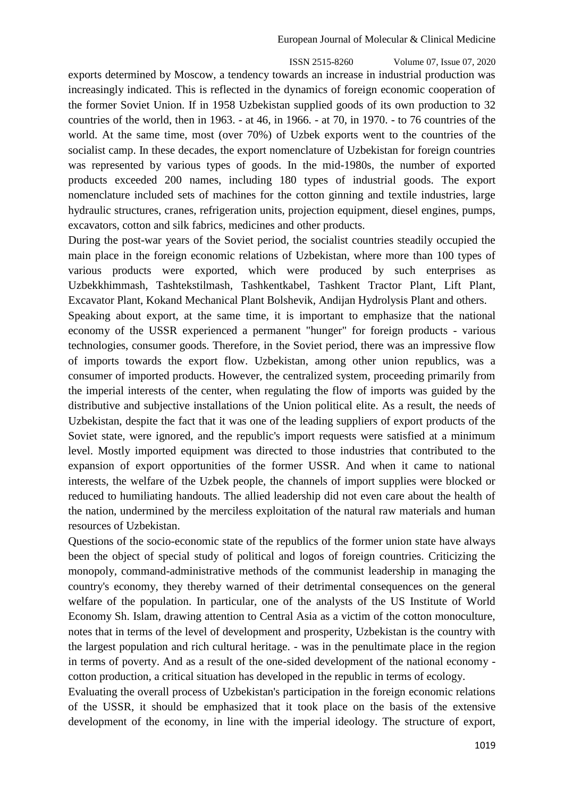ISSN 2515-8260 Volume 07, Issue 07, 2020 exports determined by Moscow, a tendency towards an increase in industrial production was increasingly indicated. This is reflected in the dynamics of foreign economic cooperation of the former Soviet Union. If in 1958 Uzbekistan supplied goods of its own production to 32 countries of the world, then in 1963. - at 46, in 1966. - at 70, in 1970. - to 76 countries of the world. At the same time, most (over 70%) of Uzbek exports went to the countries of the socialist camp. In these decades, the export nomenclature of Uzbekistan for foreign countries was represented by various types of goods. In the mid-1980s, the number of exported products exceeded 200 names, including 180 types of industrial goods. The export nomenclature included sets of machines for the cotton ginning and textile industries, large hydraulic structures, cranes, refrigeration units, projection equipment, diesel engines, pumps, excavators, cotton and silk fabrics, medicines and other products.

During the post-war years of the Soviet period, the socialist countries steadily occupied the main place in the foreign economic relations of Uzbekistan, where more than 100 types of various products were exported, which were produced by such enterprises as Uzbekkhimmash, Tashtekstilmash, Tashkentkabel, Tashkent Tractor Plant, Lift Plant, Excavator Plant, Kokand Mechanical Plant Bolshevik, Andijan Hydrolysis Plant and others.

Speaking about export, at the same time, it is important to emphasize that the national economy of the USSR experienced a permanent "hunger" for foreign products - various technologies, consumer goods. Therefore, in the Soviet period, there was an impressive flow of imports towards the export flow. Uzbekistan, among other union republics, was a consumer of imported products. However, the centralized system, proceeding primarily from the imperial interests of the center, when regulating the flow of imports was guided by the distributive and subjective installations of the Union political elite. As a result, the needs of Uzbekistan, despite the fact that it was one of the leading suppliers of export products of the Soviet state, were ignored, and the republic's import requests were satisfied at a minimum level. Mostly imported equipment was directed to those industries that contributed to the expansion of export opportunities of the former USSR. And when it came to national interests, the welfare of the Uzbek people, the channels of import supplies were blocked or reduced to humiliating handouts. The allied leadership did not even care about the health of the nation, undermined by the merciless exploitation of the natural raw materials and human resources of Uzbekistan.

Questions of the socio-economic state of the republics of the former union state have always been the object of special study of political and logos of foreign countries. Criticizing the monopoly, command-administrative methods of the communist leadership in managing the country's economy, they thereby warned of their detrimental consequences on the general welfare of the population. In particular, one of the analysts of the US Institute of World Economy Sh. Islam, drawing attention to Central Asia as a victim of the cotton monoculture, notes that in terms of the level of development and prosperity, Uzbekistan is the country with the largest population and rich cultural heritage. - was in the penultimate place in the region in terms of poverty. And as a result of the one-sided development of the national economy cotton production, a critical situation has developed in the republic in terms of ecology.

Evaluating the overall process of Uzbekistan's participation in the foreign economic relations of the USSR, it should be emphasized that it took place on the basis of the extensive development of the economy, in line with the imperial ideology. The structure of export,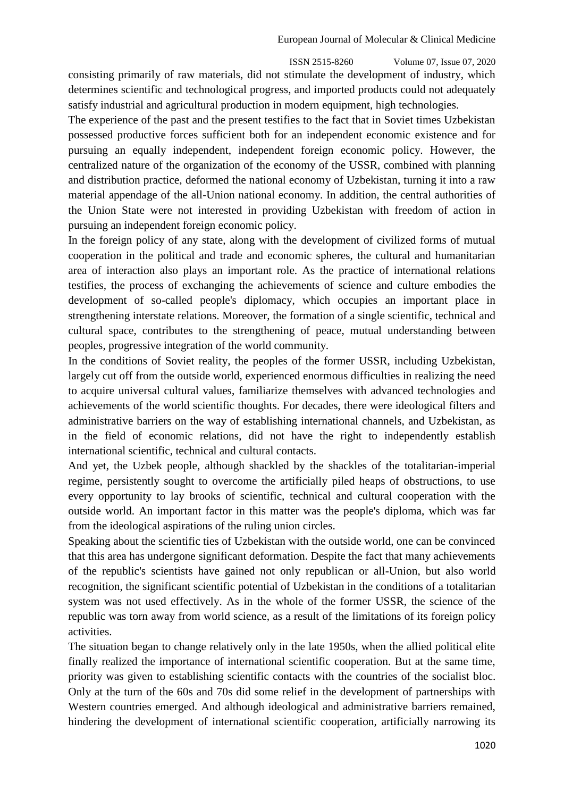ISSN 2515-8260 Volume 07, Issue 07, 2020 consisting primarily of raw materials, did not stimulate the development of industry, which determines scientific and technological progress, and imported products could not adequately satisfy industrial and agricultural production in modern equipment, high technologies.

The experience of the past and the present testifies to the fact that in Soviet times Uzbekistan possessed productive forces sufficient both for an independent economic existence and for pursuing an equally independent, independent foreign economic policy. However, the centralized nature of the organization of the economy of the USSR, combined with planning and distribution practice, deformed the national economy of Uzbekistan, turning it into a raw material appendage of the all-Union national economy. In addition, the central authorities of the Union State were not interested in providing Uzbekistan with freedom of action in pursuing an independent foreign economic policy.

In the foreign policy of any state, along with the development of civilized forms of mutual cooperation in the political and trade and economic spheres, the cultural and humanitarian area of interaction also plays an important role. As the practice of international relations testifies, the process of exchanging the achievements of science and culture embodies the development of so-called people's diplomacy, which occupies an important place in strengthening interstate relations. Moreover, the formation of a single scientific, technical and cultural space, contributes to the strengthening of peace, mutual understanding between peoples, progressive integration of the world community.

In the conditions of Soviet reality, the peoples of the former USSR, including Uzbekistan, largely cut off from the outside world, experienced enormous difficulties in realizing the need to acquire universal cultural values, familiarize themselves with advanced technologies and achievements of the world scientific thoughts. For decades, there were ideological filters and administrative barriers on the way of establishing international channels, and Uzbekistan, as in the field of economic relations, did not have the right to independently establish international scientific, technical and cultural contacts.

And yet, the Uzbek people, although shackled by the shackles of the totalitarian-imperial regime, persistently sought to overcome the artificially piled heaps of obstructions, to use every opportunity to lay brooks of scientific, technical and cultural cooperation with the outside world. An important factor in this matter was the people's diploma, which was far from the ideological aspirations of the ruling union circles.

Speaking about the scientific ties of Uzbekistan with the outside world, one can be convinced that this area has undergone significant deformation. Despite the fact that many achievements of the republic's scientists have gained not only republican or all-Union, but also world recognition, the significant scientific potential of Uzbekistan in the conditions of a totalitarian system was not used effectively. As in the whole of the former USSR, the science of the republic was torn away from world science, as a result of the limitations of its foreign policy activities.

The situation began to change relatively only in the late 1950s, when the allied political elite finally realized the importance of international scientific cooperation. But at the same time, priority was given to establishing scientific contacts with the countries of the socialist bloc. Only at the turn of the 60s and 70s did some relief in the development of partnerships with Western countries emerged. And although ideological and administrative barriers remained, hindering the development of international scientific cooperation, artificially narrowing its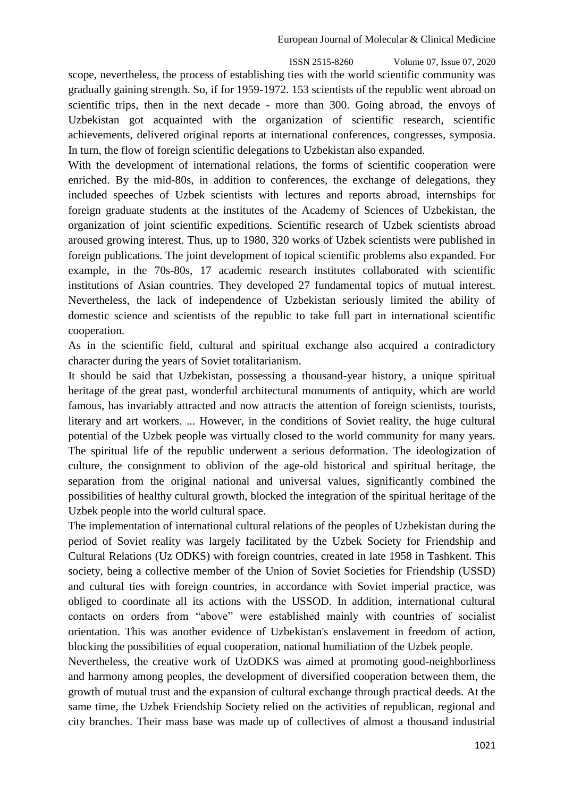ISSN 2515-8260 Volume 07, Issue 07, 2020 scope, nevertheless, the process of establishing ties with the world scientific community was gradually gaining strength. So, if for 1959-1972. 153 scientists of the republic went abroad on scientific trips, then in the next decade - more than 300. Going abroad, the envoys of Uzbekistan got acquainted with the organization of scientific research, scientific achievements, delivered original reports at international conferences, congresses, symposia. In turn, the flow of foreign scientific delegations to Uzbekistan also expanded.

With the development of international relations, the forms of scientific cooperation were enriched. By the mid-80s, in addition to conferences, the exchange of delegations, they included speeches of Uzbek scientists with lectures and reports abroad, internships for foreign graduate students at the institutes of the Academy of Sciences of Uzbekistan, the organization of joint scientific expeditions. Scientific research of Uzbek scientists abroad aroused growing interest. Thus, up to 1980, 320 works of Uzbek scientists were published in foreign publications. The joint development of topical scientific problems also expanded. For example, in the 70s-80s, 17 academic research institutes collaborated with scientific institutions of Asian countries. They developed 27 fundamental topics of mutual interest. Nevertheless, the lack of independence of Uzbekistan seriously limited the ability of domestic science and scientists of the republic to take full part in international scientific cooperation.

As in the scientific field, cultural and spiritual exchange also acquired a contradictory character during the years of Soviet totalitarianism.

It should be said that Uzbekistan, possessing a thousand-year history, a unique spiritual heritage of the great past, wonderful architectural monuments of antiquity, which are world famous, has invariably attracted and now attracts the attention of foreign scientists, tourists, literary and art workers. ... However, in the conditions of Soviet reality, the huge cultural potential of the Uzbek people was virtually closed to the world community for many years. The spiritual life of the republic underwent a serious deformation. The ideologization of culture, the consignment to oblivion of the age-old historical and spiritual heritage, the separation from the original national and universal values, significantly combined the possibilities of healthy cultural growth, blocked the integration of the spiritual heritage of the Uzbek people into the world cultural space.

The implementation of international cultural relations of the peoples of Uzbekistan during the period of Soviet reality was largely facilitated by the Uzbek Society for Friendship and Cultural Relations (Uz ODKS) with foreign countries, created in late 1958 in Tashkent. This society, being a collective member of the Union of Soviet Societies for Friendship (USSD) and cultural ties with foreign countries, in accordance with Soviet imperial practice, was obliged to coordinate all its actions with the USSOD. In addition, international cultural contacts on orders from "above" were established mainly with countries of socialist orientation. This was another evidence of Uzbekistan's enslavement in freedom of action, blocking the possibilities of equal cooperation, national humiliation of the Uzbek people.

Nevertheless, the creative work of UzODKS was aimed at promoting good-neighborliness and harmony among peoples, the development of diversified cooperation between them, the growth of mutual trust and the expansion of cultural exchange through practical deeds. At the same time, the Uzbek Friendship Society relied on the activities of republican, regional and city branches. Their mass base was made up of collectives of almost a thousand industrial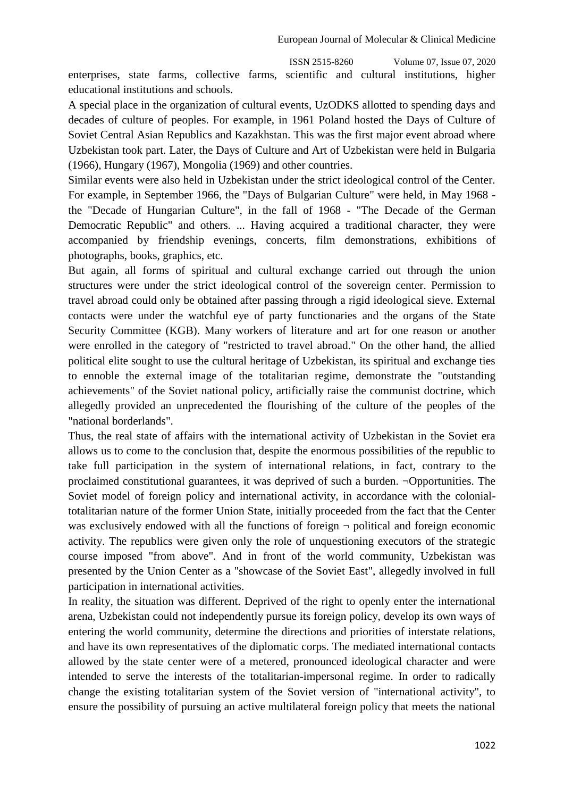ISSN 2515-8260 Volume 07, Issue 07, 2020 enterprises, state farms, collective farms, scientific and cultural institutions, higher educational institutions and schools.

A special place in the organization of cultural events, UzODKS allotted to spending days and decades of culture of peoples. For example, in 1961 Poland hosted the Days of Culture of Soviet Central Asian Republics and Kazakhstan. This was the first major event abroad where Uzbekistan took part. Later, the Days of Culture and Art of Uzbekistan were held in Bulgaria (1966), Hungary (1967), Mongolia (1969) and other countries.

Similar events were also held in Uzbekistan under the strict ideological control of the Center. For example, in September 1966, the "Days of Bulgarian Culture" were held, in May 1968 the "Decade of Hungarian Culture", in the fall of 1968 - "The Decade of the German Democratic Republic" and others. ... Having acquired a traditional character, they were accompanied by friendship evenings, concerts, film demonstrations, exhibitions of photographs, books, graphics, etc.

But again, all forms of spiritual and cultural exchange carried out through the union structures were under the strict ideological control of the sovereign center. Permission to travel abroad could only be obtained after passing through a rigid ideological sieve. External contacts were under the watchful eye of party functionaries and the organs of the State Security Committee (KGB). Many workers of literature and art for one reason or another were enrolled in the category of "restricted to travel abroad." On the other hand, the allied political elite sought to use the cultural heritage of Uzbekistan, its spiritual and exchange ties to ennoble the external image of the totalitarian regime, demonstrate the "outstanding achievements" of the Soviet national policy, artificially raise the communist doctrine, which allegedly provided an unprecedented the flourishing of the culture of the peoples of the "national borderlands".

Thus, the real state of affairs with the international activity of Uzbekistan in the Soviet era allows us to come to the conclusion that, despite the enormous possibilities of the republic to take full participation in the system of international relations, in fact, contrary to the proclaimed constitutional guarantees, it was deprived of such a burden. ¬Opportunities. The Soviet model of foreign policy and international activity, in accordance with the colonialtotalitarian nature of the former Union State, initially proceeded from the fact that the Center was exclusively endowed with all the functions of foreign  $\neg$  political and foreign economic activity. The republics were given only the role of unquestioning executors of the strategic course imposed "from above". And in front of the world community, Uzbekistan was presented by the Union Center as a "showcase of the Soviet East", allegedly involved in full participation in international activities.

In reality, the situation was different. Deprived of the right to openly enter the international arena, Uzbekistan could not independently pursue its foreign policy, develop its own ways of entering the world community, determine the directions and priorities of interstate relations, and have its own representatives of the diplomatic corps. The mediated international contacts allowed by the state center were of a metered, pronounced ideological character and were intended to serve the interests of the totalitarian-impersonal regime. In order to radically change the existing totalitarian system of the Soviet version of "international activity", to ensure the possibility of pursuing an active multilateral foreign policy that meets the national